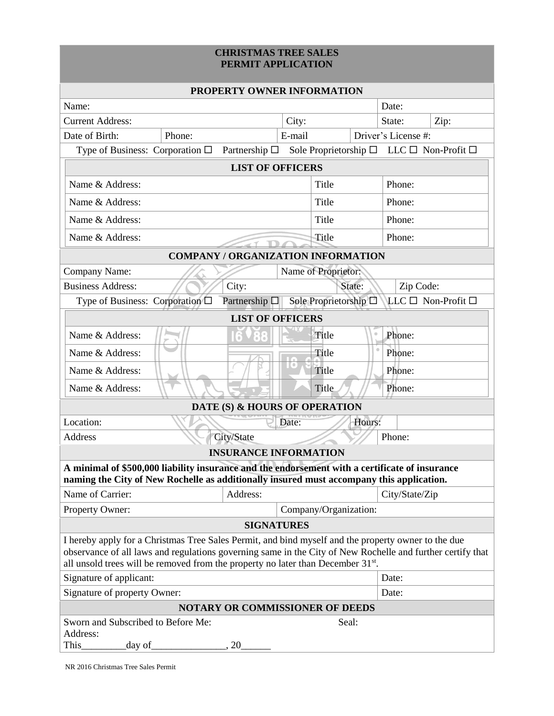## **CHRISTMAS TREE SALES PERMIT APPLICATION**

| <b>PROPERTY OWNER INFORMATION</b>                                                                                                                                                                                                                                                                                 |        |                                           |        |                       |        |                     |                    |  |
|-------------------------------------------------------------------------------------------------------------------------------------------------------------------------------------------------------------------------------------------------------------------------------------------------------------------|--------|-------------------------------------------|--------|-----------------------|--------|---------------------|--------------------|--|
| Name:                                                                                                                                                                                                                                                                                                             |        |                                           |        |                       |        | Date:               |                    |  |
| <b>Current Address:</b>                                                                                                                                                                                                                                                                                           |        |                                           | City:  |                       |        | State:              | Zip:               |  |
| Date of Birth:                                                                                                                                                                                                                                                                                                    | Phone: |                                           | E-mail |                       |        | Driver's License #: |                    |  |
| Type of Business: Corporation $\Box$ Partnership $\Box$ Sole Proprietorship $\Box$ LLC $\Box$ Non-Profit $\Box$                                                                                                                                                                                                   |        |                                           |        |                       |        |                     |                    |  |
|                                                                                                                                                                                                                                                                                                                   |        | <b>LIST OF OFFICERS</b>                   |        |                       |        |                     |                    |  |
| Name & Address:                                                                                                                                                                                                                                                                                                   |        |                                           |        | Title                 |        | Phone:              |                    |  |
| Name & Address:                                                                                                                                                                                                                                                                                                   |        |                                           | Title  |                       |        | Phone:              |                    |  |
| Name & Address:                                                                                                                                                                                                                                                                                                   |        |                                           |        | Title                 |        | Phone:              |                    |  |
| Name & Address:                                                                                                                                                                                                                                                                                                   |        |                                           |        | Title                 |        | Phone:              |                    |  |
|                                                                                                                                                                                                                                                                                                                   |        | <b>COMPANY / ORGANIZATION INFORMATION</b> |        |                       |        |                     |                    |  |
| Name of Proprietor:<br>Company Name:                                                                                                                                                                                                                                                                              |        |                                           |        |                       |        |                     |                    |  |
| <b>Business Address:</b>                                                                                                                                                                                                                                                                                          |        | City:                                     |        |                       | State: | Zip Code:           |                    |  |
| Type of Business: Corporation □                                                                                                                                                                                                                                                                                   |        | Partnership $\square$                     |        | Sole Proprietorship □ |        |                     | LLC □ Non-Profit □ |  |
| <b>LIST OF OFFICERS</b>                                                                                                                                                                                                                                                                                           |        |                                           |        |                       |        |                     |                    |  |
| Name & Address:                                                                                                                                                                                                                                                                                                   |        |                                           |        | Title                 |        | Phone:              |                    |  |
| Name & Address:                                                                                                                                                                                                                                                                                                   |        |                                           |        | Title                 |        | Phone:              |                    |  |
| Name & Address:                                                                                                                                                                                                                                                                                                   |        |                                           |        | Title                 |        | Phone:              |                    |  |
| Name & Address:                                                                                                                                                                                                                                                                                                   |        |                                           |        | Title                 |        | Phone:              |                    |  |
| DATE (S) & HOURS OF OPERATION                                                                                                                                                                                                                                                                                     |        |                                           |        |                       |        |                     |                    |  |
| Location:<br>Hours:<br>Date:                                                                                                                                                                                                                                                                                      |        |                                           |        |                       |        |                     |                    |  |
| <b>Address</b>                                                                                                                                                                                                                                                                                                    |        | City/State                                |        |                       |        | Phone:              |                    |  |
|                                                                                                                                                                                                                                                                                                                   |        | <b>INSURANCE INFORMATION</b>              |        |                       |        |                     |                    |  |
| A minimal of \$500,000 liability insurance and the endorsement with a certificate of insurance<br>naming the City of New Rochelle as additionally insured must accompany this application.                                                                                                                        |        |                                           |        |                       |        |                     |                    |  |
| Name of Carrier:                                                                                                                                                                                                                                                                                                  |        | Address:                                  |        |                       |        | City/State/Zip      |                    |  |
| Company/Organization:<br>Property Owner:                                                                                                                                                                                                                                                                          |        |                                           |        |                       |        |                     |                    |  |
| <b>SIGNATURES</b>                                                                                                                                                                                                                                                                                                 |        |                                           |        |                       |        |                     |                    |  |
| I hereby apply for a Christmas Tree Sales Permit, and bind myself and the property owner to the due<br>observance of all laws and regulations governing same in the City of New Rochelle and further certify that<br>all unsold trees will be removed from the property no later than December 31 <sup>st</sup> . |        |                                           |        |                       |        |                     |                    |  |
| Signature of applicant:                                                                                                                                                                                                                                                                                           |        |                                           |        |                       |        | Date:               |                    |  |
| Signature of property Owner:                                                                                                                                                                                                                                                                                      |        |                                           |        |                       |        |                     | Date:              |  |
| <b>NOTARY OR COMMISSIONER OF DEEDS</b>                                                                                                                                                                                                                                                                            |        |                                           |        |                       |        |                     |                    |  |
| Sworn and Subscribed to Before Me:<br>Address:<br>This<br>day of                                                                                                                                                                                                                                                  |        | 20                                        |        | Seal:                 |        |                     |                    |  |